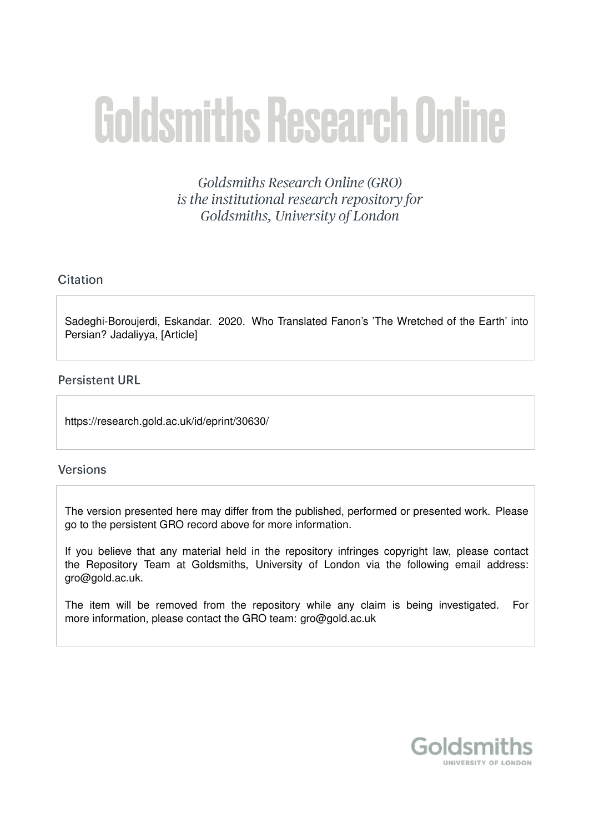# **Goldsmiths Research Online**

Goldsmiths Research Online (GRO) is the institutional research repository for Goldsmiths, University of London

# Citation

Sadeghi-Boroujerdi, Eskandar. 2020. Who Translated Fanon's 'The Wretched of the Earth' into Persian? Jadaliyya, [Article]

## **Persistent URL**

https://research.gold.ac.uk/id/eprint/30630/

## **Versions**

The version presented here may differ from the published, performed or presented work. Please go to the persistent GRO record above for more information.

If you believe that any material held in the repository infringes copyright law, please contact the Repository Team at Goldsmiths, University of London via the following email address: gro@gold.ac.uk.

The item will be removed from the repository while any claim is being investigated. For more information, please contact the GRO team: gro@gold.ac.uk

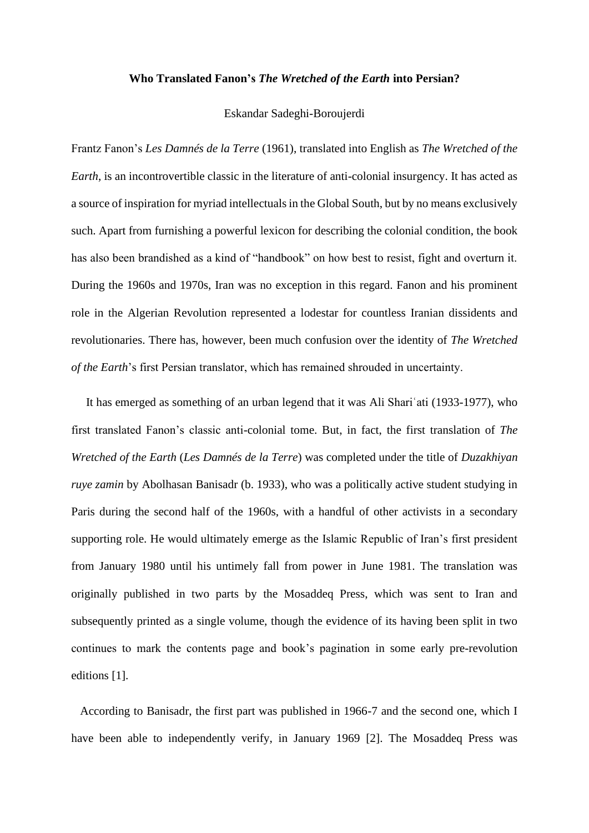#### **Who Translated Fanon's** *The Wretched of the Earth* **into Persian?**

### Eskandar Sadeghi-Boroujerdi

Frantz Fanon's *Les Damnés de la Terre* (1961), translated into English as *The Wretched of the Earth*, is an incontrovertible classic in the literature of anti-colonial insurgency. It has acted as a source of inspiration for myriad intellectuals in the Global South, but by no means exclusively such. Apart from furnishing a powerful lexicon for describing the colonial condition, the book has also been brandished as a kind of "handbook" on how best to resist, fight and overturn it. During the 1960s and 1970s, Iran was no exception in this regard. Fanon and his prominent role in the Algerian Revolution represented a lodestar for countless Iranian dissidents and revolutionaries. There has, however, been much confusion over the identity of *The Wretched of the Earth*'s first Persian translator, which has remained shrouded in uncertainty.

 It has emerged as something of an urban legend that it was Ali Shariʿati (1933-1977), who first translated Fanon's classic anti-colonial tome. But, in fact, the first translation of *The Wretched of the Earth* (*Les Damnés de la Terre*) was completed under the title of *Duzakhiyan ruye zamin* by Abolhasan Banisadr (b. 1933), who was a politically active student studying in Paris during the second half of the 1960s, with a handful of other activists in a secondary supporting role. He would ultimately emerge as the Islamic Republic of Iran's first president from January 1980 until his untimely fall from power in June 1981. The translation was originally published in two parts by the Mosaddeq Press, which was sent to Iran and subsequently printed as a single volume, though the evidence of its having been split in two continues to mark the contents page and book's pagination in some early pre-revolution editions [1].

 According to Banisadr, the first part was published in 1966-7 and the second one, which I have been able to independently verify, in January 1969 [2]. The Mosaddeq Press was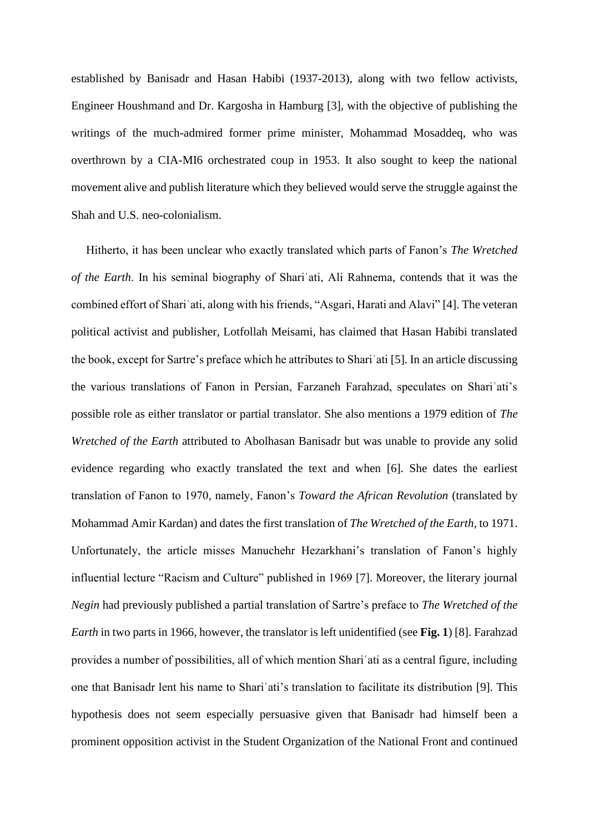established by Banisadr and Hasan Habibi (1937-2013), along with two fellow activists, Engineer Houshmand and Dr. Kargosha in Hamburg [3], with the objective of publishing the writings of the much-admired former prime minister, Mohammad Mosaddeq, who was overthrown by a CIA-MI6 orchestrated coup in 1953. It also sought to keep the national movement alive and publish literature which they believed would serve the struggle against the Shah and U.S. neo-colonialism.

 Hitherto, it has been unclear who exactly translated which parts of Fanon's *The Wretched of the Earth*. In his seminal biography of Shariʿati, Ali Rahnema, contends that it was the combined effort of Shariʿati, along with his friends, "Asgari, Harati and Alavi" [4]. The veteran political activist and publisher, Lotfollah Meisami, has claimed that Hasan Habibi translated the book, except for Sartre's preface which he attributes to Shariʿati [5]. In an article discussing the various translations of Fanon in Persian, Farzaneh Farahzad, speculates on Shariʿati's possible role as either translator or partial translator. She also mentions a 1979 edition of *The Wretched of the Earth* attributed to Abolhasan Banisadr but was unable to provide any solid evidence regarding who exactly translated the text and when [6]. She dates the earliest translation of Fanon to 1970, namely, Fanon's *Toward the African Revolution* (translated by Mohammad Amir Kardan) and dates the first translation of *The Wretched of the Earth*, to 1971. Unfortunately, the article misses Manuchehr Hezarkhani's translation of Fanon's highly influential lecture "Racism and Culture" published in 1969 [7]. Moreover, the literary journal *Negin* had previously published a partial translation of Sartre's preface to *The Wretched of the Earth* in two parts in 1966, however, the translator is left unidentified (see **Fig. 1**) [8]. Farahzad provides a number of possibilities, all of which mention Shariʿati as a central figure, including one that Banisadr lent his name to Shariʿati's translation to facilitate its distribution [9]. This hypothesis does not seem especially persuasive given that Banisadr had himself been a prominent opposition activist in the Student Organization of the National Front and continued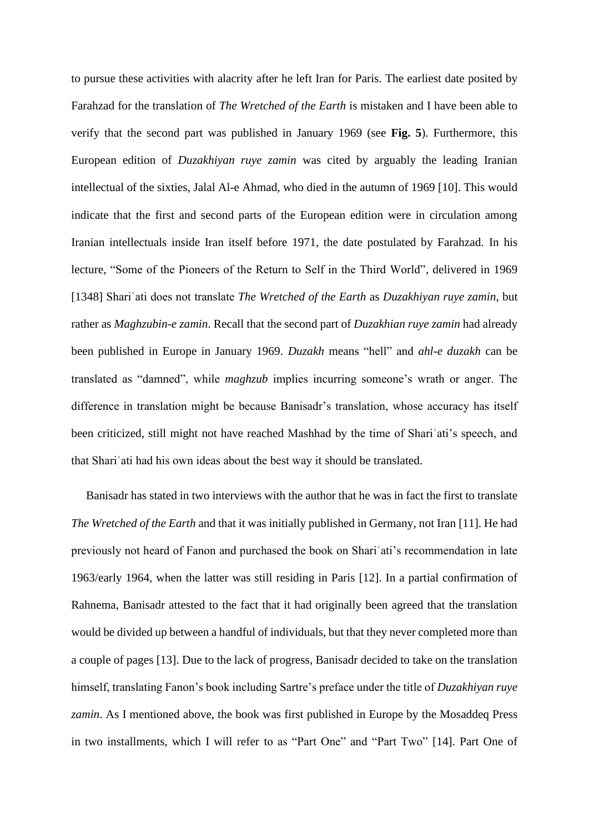to pursue these activities with alacrity after he left Iran for Paris. The earliest date posited by Farahzad for the translation of *The Wretched of the Earth* is mistaken and I have been able to verify that the second part was published in January 1969 (see **Fig. 5**). Furthermore, this European edition of *Duzakhiyan ruye zamin* was cited by arguably the leading Iranian intellectual of the sixties, Jalal Al-e Ahmad, who died in the autumn of 1969 [10]. This would indicate that the first and second parts of the European edition were in circulation among Iranian intellectuals inside Iran itself before 1971, the date postulated by Farahzad. In his lecture, "Some of the Pioneers of the Return to Self in the Third World", delivered in 1969 [1348] Shariʿati does not translate *The Wretched of the Earth* as *Duzakhiyan ruye zamin*, but rather as *Maghzubin-e zamin*. Recall that the second part of *Duzakhian ruye zamin* had already been published in Europe in January 1969. *Duzakh* means "hell" and *ahl-e duzakh* can be translated as "damned", while *maghzub* implies incurring someone's wrath or anger. The difference in translation might be because Banisadr's translation, whose accuracy has itself been criticized, still might not have reached Mashhad by the time of Shariʿati's speech, and that Shariʿati had his own ideas about the best way it should be translated.

 Banisadr has stated in two interviews with the author that he was in fact the first to translate *The Wretched of the Earth* and that it was initially published in Germany, not Iran [11]. He had previously not heard of Fanon and purchased the book on Shariʿati's recommendation in late 1963/early 1964, when the latter was still residing in Paris [12]. In a partial confirmation of Rahnema, Banisadr attested to the fact that it had originally been agreed that the translation would be divided up between a handful of individuals, but that they never completed more than a couple of pages [13]. Due to the lack of progress, Banisadr decided to take on the translation himself, translating Fanon's book including Sartre's preface under the title of *Duzakhiyan ruye zamin*. As I mentioned above, the book was first published in Europe by the Mosaddeq Press in two installments, which I will refer to as "Part One" and "Part Two" [14]. Part One of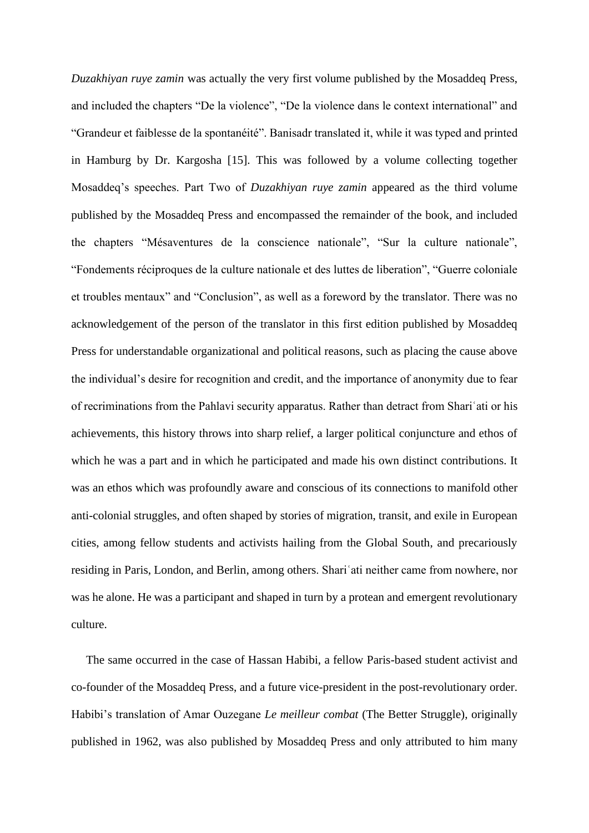*Duzakhiyan ruye zamin* was actually the very first volume published by the Mosaddeq Press, and included the chapters "De la violence", "De la violence dans le context international" and "Grandeur et faiblesse de la spontanéité". Banisadr translated it, while it was typed and printed in Hamburg by Dr. Kargosha [15]. This was followed by a volume collecting together Mosaddeq's speeches. Part Two of *Duzakhiyan ruye zamin* appeared as the third volume published by the Mosaddeq Press and encompassed the remainder of the book, and included the chapters "Mésaventures de la conscience nationale", "Sur la culture nationale", "Fondements réciproques de la culture nationale et des luttes de liberation", "Guerre coloniale et troubles mentaux" and "Conclusion", as well as a foreword by the translator. There was no acknowledgement of the person of the translator in this first edition published by Mosaddeq Press for understandable organizational and political reasons, such as placing the cause above the individual's desire for recognition and credit, and the importance of anonymity due to fear of recriminations from the Pahlavi security apparatus. Rather than detract from Shariʿati or his achievements, this history throws into sharp relief, a larger political conjuncture and ethos of which he was a part and in which he participated and made his own distinct contributions. It was an ethos which was profoundly aware and conscious of its connections to manifold other anti-colonial struggles, and often shaped by stories of migration, transit, and exile in European cities, among fellow students and activists hailing from the Global South, and precariously residing in Paris, London, and Berlin, among others. Shariʿati neither came from nowhere, nor was he alone. He was a participant and shaped in turn by a protean and emergent revolutionary culture.

 The same occurred in the case of Hassan Habibi, a fellow Paris-based student activist and co-founder of the Mosaddeq Press, and a future vice-president in the post-revolutionary order. Habibi's translation of Amar Ouzegane *Le meilleur combat* (The Better Struggle), originally published in 1962, was also published by Mosaddeq Press and only attributed to him many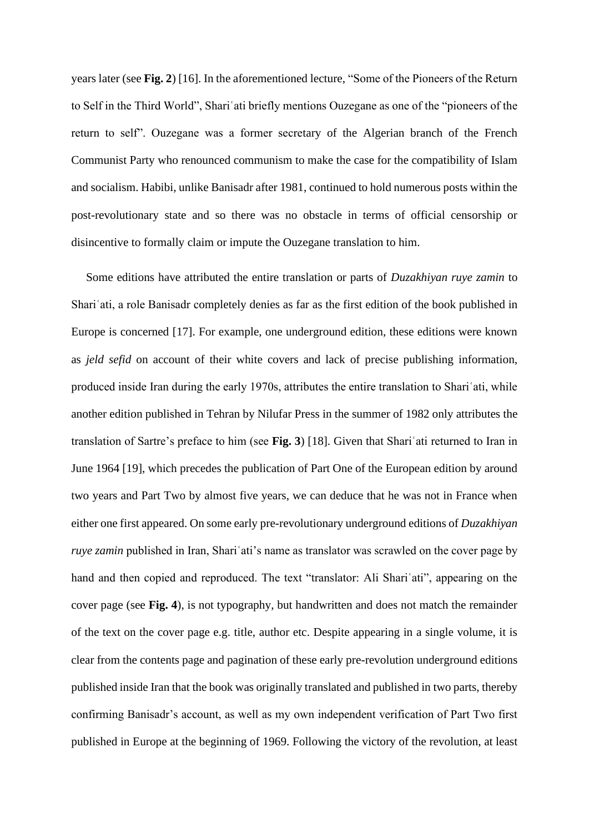years later (see **Fig. 2**) [16]. In the aforementioned lecture, "Some of the Pioneers of the Return to Self in the Third World", Shariʿati briefly mentions Ouzegane as one of the "pioneers of the return to self". Ouzegane was a former secretary of the Algerian branch of the French Communist Party who renounced communism to make the case for the compatibility of Islam and socialism. Habibi, unlike Banisadr after 1981, continued to hold numerous posts within the post-revolutionary state and so there was no obstacle in terms of official censorship or disincentive to formally claim or impute the Ouzegane translation to him.

 Some editions have attributed the entire translation or parts of *Duzakhiyan ruye zamin* to Shariʿati, a role Banisadr completely denies as far as the first edition of the book published in Europe is concerned [17]. For example, one underground edition, these editions were known as *jeld sefid* on account of their white covers and lack of precise publishing information, produced inside Iran during the early 1970s, attributes the entire translation to Shariʿati, while another edition published in Tehran by Nilufar Press in the summer of 1982 only attributes the translation of Sartre's preface to him (see **Fig. 3**) [18]. Given that Shariʿati returned to Iran in June 1964 [19], which precedes the publication of Part One of the European edition by around two years and Part Two by almost five years, we can deduce that he was not in France when either one first appeared. On some early pre-revolutionary underground editions of *Duzakhiyan ruye zamin* published in Iran, Shari'ati's name as translator was scrawled on the cover page by hand and then copied and reproduced. The text "translator: Ali Shariʿati", appearing on the cover page (see **Fig. 4**), is not typography, but handwritten and does not match the remainder of the text on the cover page e.g. title, author etc. Despite appearing in a single volume, it is clear from the contents page and pagination of these early pre-revolution underground editions published inside Iran that the book was originally translated and published in two parts, thereby confirming Banisadr's account, as well as my own independent verification of Part Two first published in Europe at the beginning of 1969. Following the victory of the revolution, at least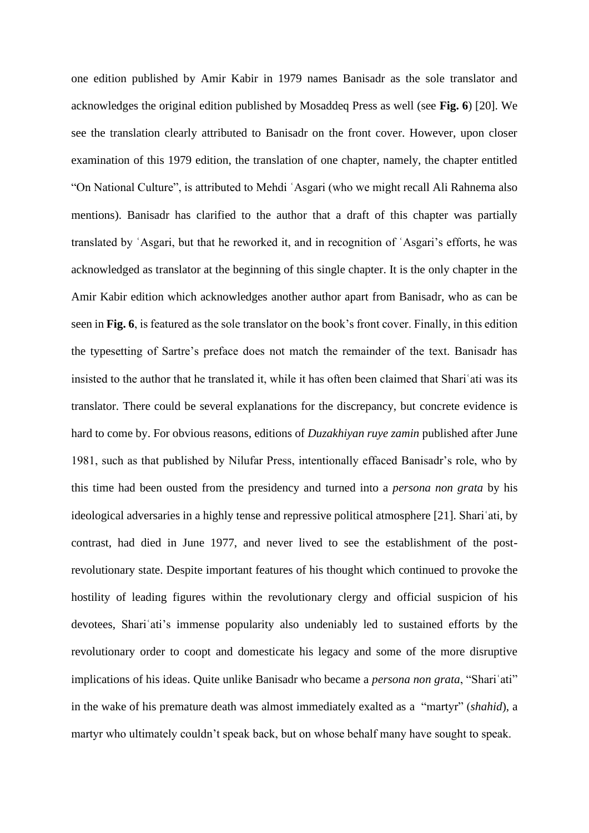one edition published by Amir Kabir in 1979 names Banisadr as the sole translator and acknowledges the original edition published by Mosaddeq Press as well (see **Fig. 6**) [20]. We see the translation clearly attributed to Banisadr on the front cover. However, upon closer examination of this 1979 edition, the translation of one chapter, namely, the chapter entitled "On National Culture", is attributed to Mehdi ʿAsgari (who we might recall Ali Rahnema also mentions). Banisadr has clarified to the author that a draft of this chapter was partially translated by ʿAsgari, but that he reworked it, and in recognition of ʿAsgari's efforts, he was acknowledged as translator at the beginning of this single chapter. It is the only chapter in the Amir Kabir edition which acknowledges another author apart from Banisadr, who as can be seen in **Fig. 6**, is featured as the sole translator on the book's front cover. Finally, in this edition the typesetting of Sartre's preface does not match the remainder of the text. Banisadr has insisted to the author that he translated it, while it has often been claimed that Shariʿati was its translator. There could be several explanations for the discrepancy, but concrete evidence is hard to come by. For obvious reasons, editions of *Duzakhiyan ruye zamin* published after June 1981, such as that published by Nilufar Press, intentionally effaced Banisadr's role, who by this time had been ousted from the presidency and turned into a *persona non grata* by his ideological adversaries in a highly tense and repressive political atmosphere [21]. Shariʿati, by contrast, had died in June 1977, and never lived to see the establishment of the postrevolutionary state. Despite important features of his thought which continued to provoke the hostility of leading figures within the revolutionary clergy and official suspicion of his devotees, Shariʿati's immense popularity also undeniably led to sustained efforts by the revolutionary order to coopt and domesticate his legacy and some of the more disruptive implications of his ideas. Quite unlike Banisadr who became a *persona non grata*, "Shariʿati" in the wake of his premature death was almost immediately exalted as a "martyr" (*shahid*), a martyr who ultimately couldn't speak back, but on whose behalf many have sought to speak.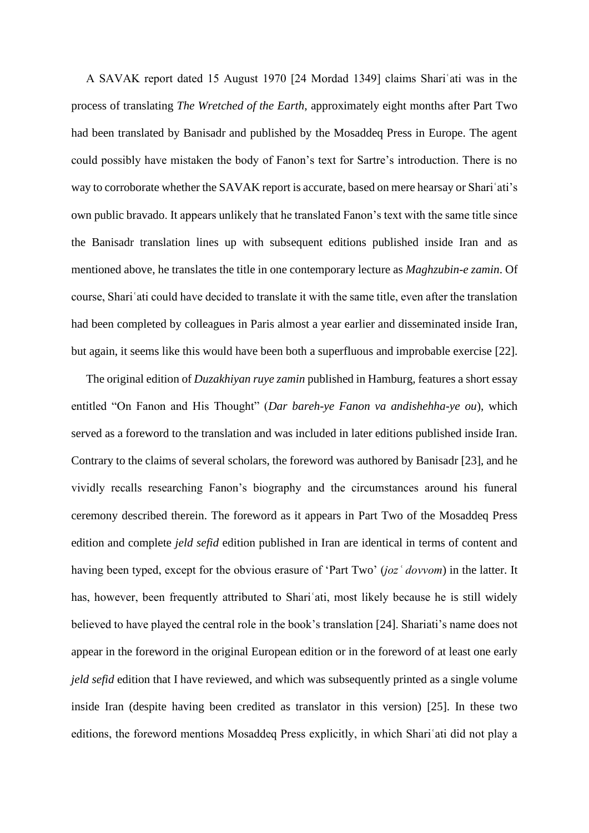A SAVAK report dated 15 August 1970 [24 Mordad 1349] claims Shariʿati was in the process of translating *The Wretched of the Earth*, approximately eight months after Part Two had been translated by Banisadr and published by the Mosaddeq Press in Europe. The agent could possibly have mistaken the body of Fanon's text for Sartre's introduction. There is no way to corroborate whether the SAVAK report is accurate, based on mere hearsay or Shariʿati's own public bravado. It appears unlikely that he translated Fanon's text with the same title since the Banisadr translation lines up with subsequent editions published inside Iran and as mentioned above, he translates the title in one contemporary lecture as *Maghzubin-e zamin*. Of course, Shariʿati could have decided to translate it with the same title, even after the translation had been completed by colleagues in Paris almost a year earlier and disseminated inside Iran, but again, it seems like this would have been both a superfluous and improbable exercise [22].

 The original edition of *Duzakhiyan ruye zamin* published in Hamburg, features a short essay entitled "On Fanon and His Thought" (*Dar bareh-ye Fanon va andishehha-ye ou*), which served as a foreword to the translation and was included in later editions published inside Iran. Contrary to the claims of several scholars, the foreword was authored by Banisadr [23], and he vividly recalls researching Fanon's biography and the circumstances around his funeral ceremony described therein. The foreword as it appears in Part Two of the Mosaddeq Press edition and complete *jeld sefid* edition published in Iran are identical in terms of content and having been typed, except for the obvious erasure of 'Part Two' (*jozʿ dovvom*) in the latter. It has, however, been frequently attributed to Shari'ati, most likely because he is still widely believed to have played the central role in the book's translation [24]. Shariati's name does not appear in the foreword in the original European edition or in the foreword of at least one early *jeld sefid* edition that I have reviewed, and which was subsequently printed as a single volume inside Iran (despite having been credited as translator in this version) [25]. In these two editions, the foreword mentions Mosaddeq Press explicitly, in which Shariʿati did not play a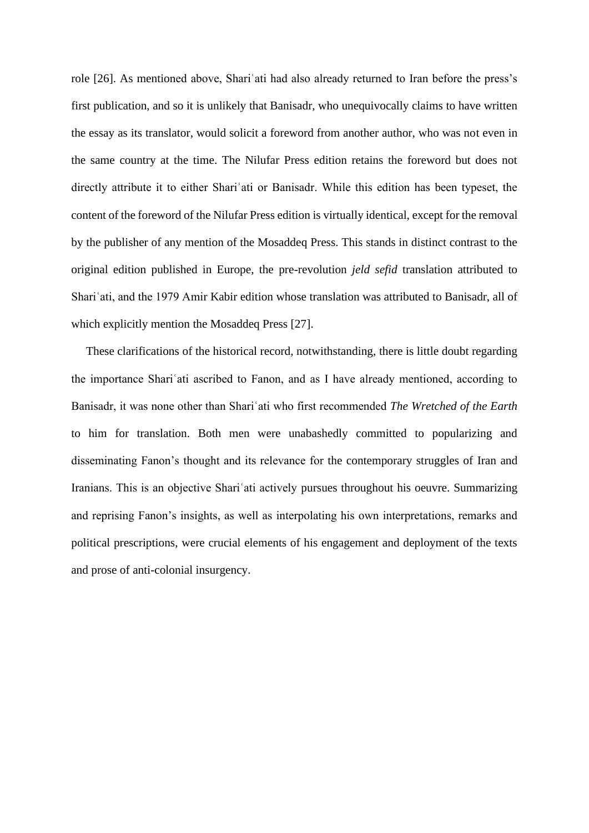role [26]. As mentioned above, Shariʿati had also already returned to Iran before the press's first publication, and so it is unlikely that Banisadr, who unequivocally claims to have written the essay as its translator, would solicit a foreword from another author, who was not even in the same country at the time. The Nilufar Press edition retains the foreword but does not directly attribute it to either Shariʿati or Banisadr. While this edition has been typeset, the content of the foreword of the Nilufar Press edition is virtually identical, except for the removal by the publisher of any mention of the Mosaddeq Press. This stands in distinct contrast to the original edition published in Europe, the pre-revolution *jeld sefid* translation attributed to Shariʿati, and the 1979 Amir Kabir edition whose translation was attributed to Banisadr, all of which explicitly mention the Mosaddeq Press [27].

 These clarifications of the historical record, notwithstanding, there is little doubt regarding the importance Shariʿati ascribed to Fanon, and as I have already mentioned, according to Banisadr, it was none other than Shariʿati who first recommended *The Wretched of the Earth* to him for translation. Both men were unabashedly committed to popularizing and disseminating Fanon's thought and its relevance for the contemporary struggles of Iran and Iranians. This is an objective Shariʿati actively pursues throughout his oeuvre. Summarizing and reprising Fanon's insights, as well as interpolating his own interpretations, remarks and political prescriptions, were crucial elements of his engagement and deployment of the texts and prose of anti-colonial insurgency.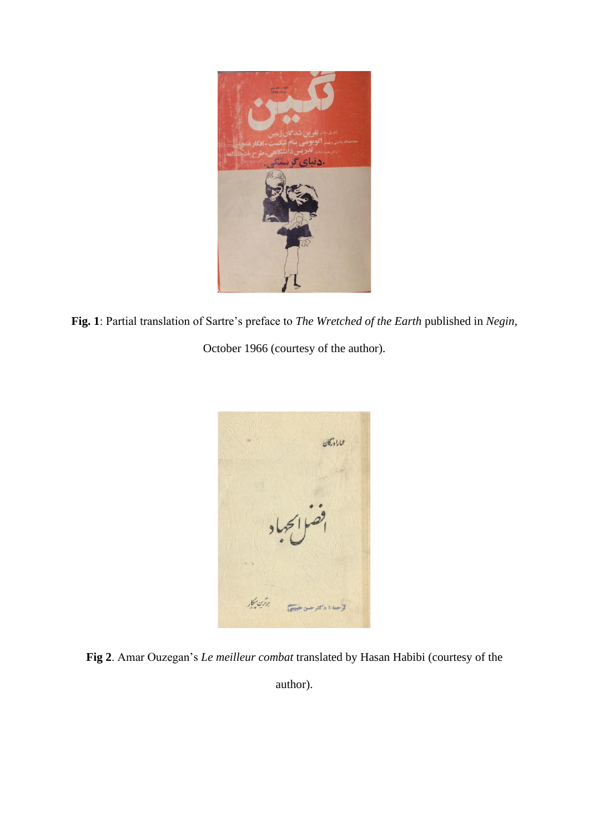

**Fig. 1**: Partial translation of Sartre's preface to *The Wretched of the Earth* published in *Negin*,

October 1966 (courtesy of the author).



**Fig 2**. Amar Ouzegan's *Le meilleur combat* translated by Hasan Habibi (courtesy of the

author).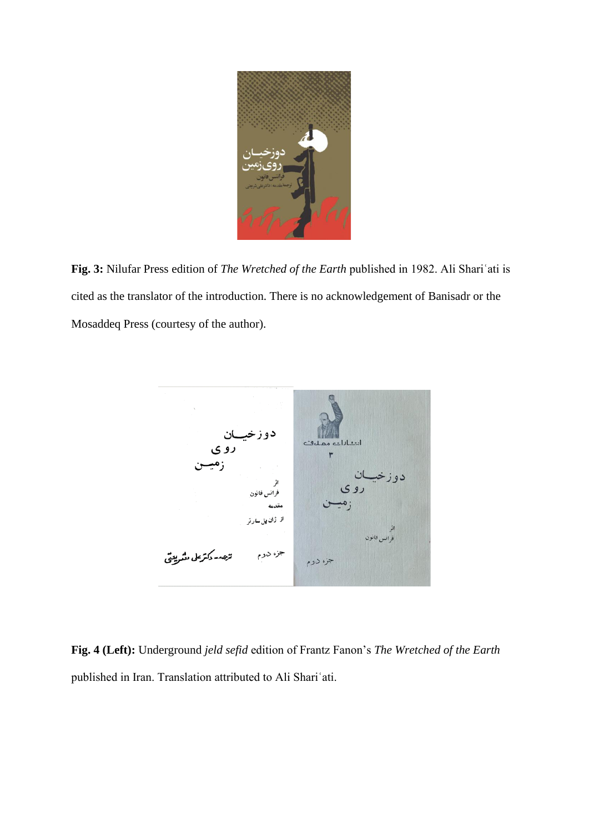

**Fig. 3:** Nilufar Press edition of *The Wretched of the Earth* published in 1982. Ali Shariʿati is cited as the translator of the introduction. There is no acknowledgement of Banisadr or the Mosaddeq Press (courtesy of the author).



**Fig. 4 (Left):** Underground *jeld sefid* edition of Frantz Fanon's *The Wretched of the Earth* published in Iran. Translation attributed to Ali Shariʿati.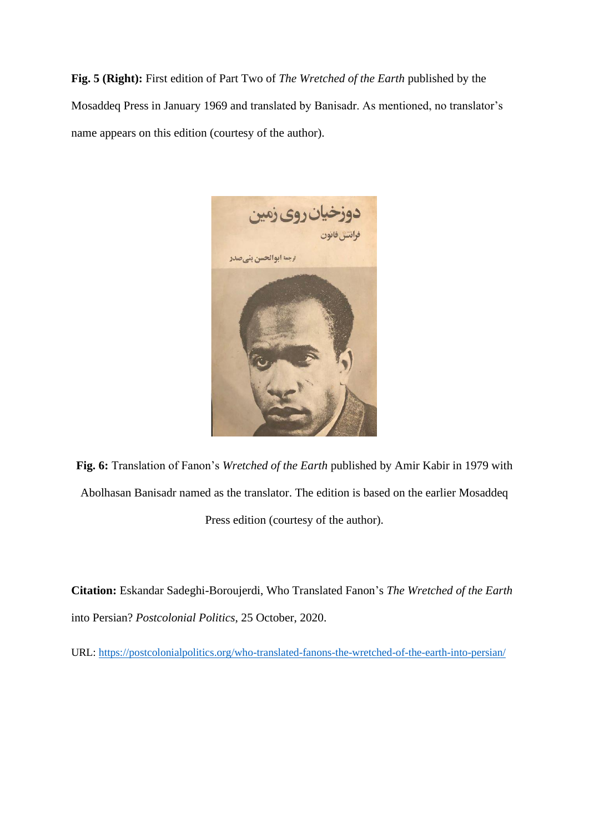**Fig. 5 (Right):** First edition of Part Two of *The Wretched of the Earth* published by the Mosaddeq Press in January 1969 and translated by Banisadr. As mentioned, no translator's name appears on this edition (courtesy of the author).



**Fig. 6:** Translation of Fanon's *Wretched of the Earth* published by Amir Kabir in 1979 with Abolhasan Banisadr named as the translator. The edition is based on the earlier Mosaddeq Press edition (courtesy of the author).

**Citation:** Eskandar Sadeghi-Boroujerdi, Who Translated Fanon's *The Wretched of the Earth* into Persian? *Postcolonial Politics*, 25 October, 2020.

URL:<https://postcolonialpolitics.org/who-translated-fanons-the-wretched-of-the-earth-into-persian/>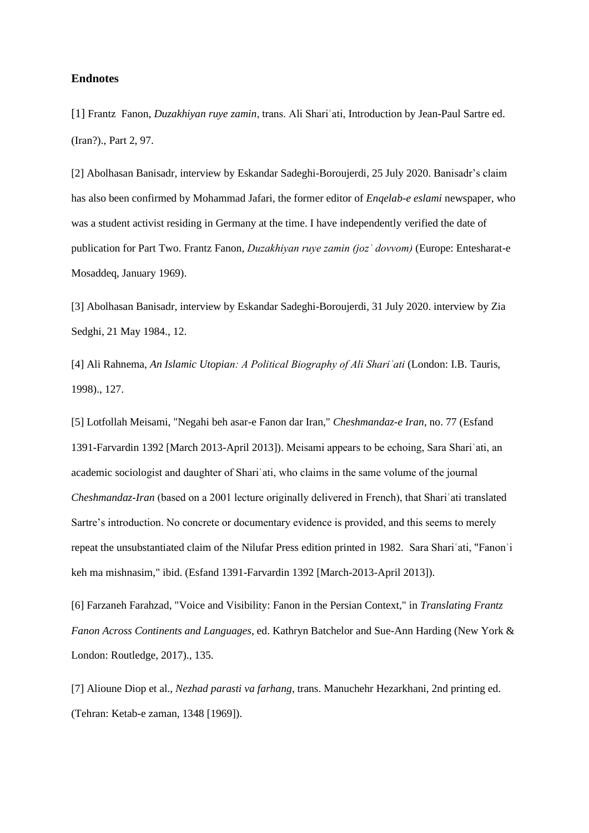#### **Endnotes**

[1] Frantz Fanon, *Duzakhiyan ruye zamin*, trans. Ali Shariʿati, Introduction by Jean-Paul Sartre ed. (Iran?)., Part 2, 97.

[2] Abolhasan Banisadr, interview by Eskandar Sadeghi-Boroujerdi, 25 July 2020. Banisadr's claim has also been confirmed by Mohammad Jafari, the former editor of *Enqelab-e eslami* newspaper, who was a student activist residing in Germany at the time. I have independently verified the date of publication for Part Two. Frantz Fanon, *Duzakhiyan ruye zamin (jozʿ dovvom)* (Europe: Entesharat-e Mosaddeq, January 1969).

[3] Abolhasan Banisadr, interview by Eskandar Sadeghi-Boroujerdi, 31 July 2020. interview by Zia Sedghi, 21 May 1984., 12.

[4] Ali Rahnema, *An Islamic Utopian: A Political Biography of Ali Shariʿati* (London: I.B. Tauris, 1998)., 127.

[5] Lotfollah Meisami, "Negahi beh asar-e Fanon dar Iran," *Cheshmandaz-e Iran*, no. 77 (Esfand 1391-Farvardin 1392 [March 2013-April 2013]). Meisami appears to be echoing, Sara Shariʿati, an academic sociologist and daughter of Shariʿati, who claims in the same volume of the journal *Cheshmandaz-Iran (based on a 2001 lecture originally delivered in French)*, that Shari'ati translated Sartre's introduction. No concrete or documentary evidence is provided, and this seems to merely repeat the unsubstantiated claim of the Nilufar Press edition printed in 1982. Sara Shariʿati, "Fanonʾi keh ma mishnasim," ibid. (Esfand 1391-Farvardin 1392 [March-2013-April 2013]).

[6] Farzaneh Farahzad, "Voice and Visibility: Fanon in the Persian Context," in *Translating Frantz Fanon Across Continents and Languages*, ed. Kathryn Batchelor and Sue-Ann Harding (New York & London: Routledge, 2017)., 135.

[7] Alioune Diop et al., *Nezhad parasti va farhang*, trans. Manuchehr Hezarkhani, 2nd printing ed. (Tehran: Ketab-e zaman, 1348 [1969]).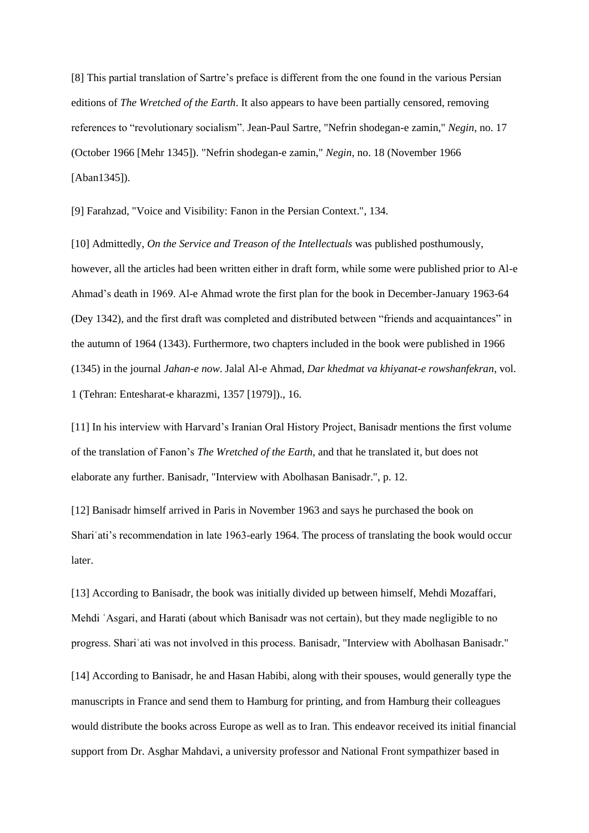[8] This partial translation of Sartre's preface is different from the one found in the various Persian editions of *The Wretched of the Earth*. It also appears to have been partially censored, removing references to "revolutionary socialism". Jean-Paul Sartre, "Nefrin shodegan-e zamin," *Negin*, no. 17 (October 1966 [Mehr 1345]). "Nefrin shodegan-e zamin," *Negin*, no. 18 (November 1966 [Aban1345]).

[9] Farahzad, "Voice and Visibility: Fanon in the Persian Context.", 134.

[10] Admittedly, *On the Service and Treason of the Intellectuals* was published posthumously, however, all the articles had been written either in draft form, while some were published prior to Al-e Ahmad's death in 1969. Al-e Ahmad wrote the first plan for the book in December-January 1963-64 (Dey 1342), and the first draft was completed and distributed between "friends and acquaintances" in the autumn of 1964 (1343). Furthermore, two chapters included in the book were published in 1966 (1345) in the journal *Jahan-e now*. Jalal Al-e Ahmad, *Dar khedmat va khiyanat-e rowshanfekran*, vol. 1 (Tehran: Entesharat-e kharazmi, 1357 [1979])., 16.

[11] In his interview with Harvard's Iranian Oral History Project, Banisadr mentions the first volume of the translation of Fanon's *The Wretched of the Earth*, and that he translated it, but does not elaborate any further. Banisadr, "Interview with Abolhasan Banisadr.", p. 12.

[12] Banisadr himself arrived in Paris in November 1963 and says he purchased the book on Shariʿati's recommendation in late 1963-early 1964. The process of translating the book would occur later.

[13] According to Banisadr, the book was initially divided up between himself, Mehdi Mozaffari, Mehdi ʿAsgari, and Harati (about which Banisadr was not certain), but they made negligible to no progress. Shariʿati was not involved in this process. Banisadr, "Interview with Abolhasan Banisadr."

[14] According to Banisadr, he and Hasan Habibi, along with their spouses, would generally type the manuscripts in France and send them to Hamburg for printing, and from Hamburg their colleagues would distribute the books across Europe as well as to Iran. This endeavor received its initial financial support from Dr. Asghar Mahdavi, a university professor and National Front sympathizer based in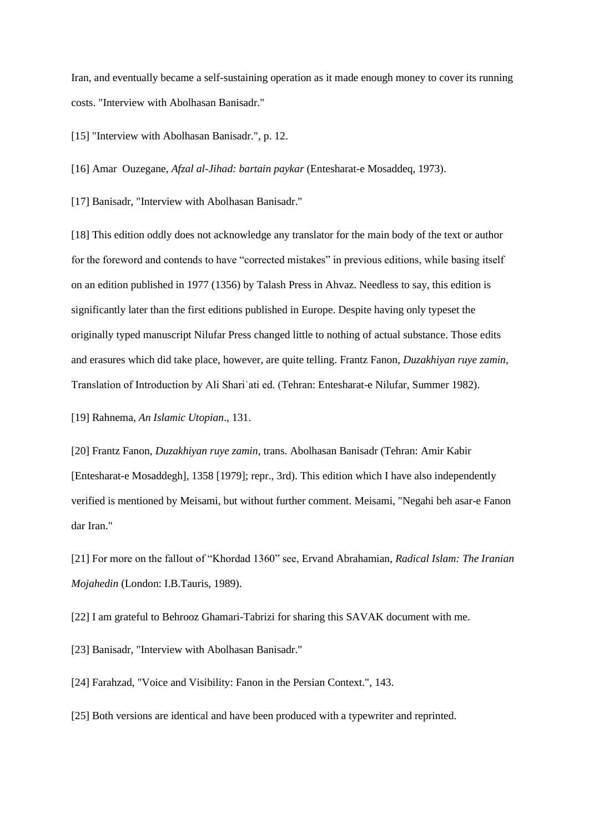Iran, and eventually became a self-sustaining operation as it made enough money to cover its running costs. "Interview with Abolhasan Banisadr."

[15] "Interview with Abolhasan Banisadr.", p. 12.

[16] Amar Ouzegane, *Afzal al-Jihad: bartain paykar* (Entesharat-e Mosaddeq, 1973).

[17] Banisadr, "Interview with Abolhasan Banisadr."

[18] This edition oddly does not acknowledge any translator for the main body of the text or author for the foreword and contends to have "corrected mistakes" in previous editions, while basing itself on an edition published in 1977 (1356) by Talash Press in Ahvaz. Needless to say, this edition is significantly later than the first editions published in Europe. Despite having only typeset the originally typed manuscript Nilufar Press changed little to nothing of actual substance. Those edits and erasures which did take place, however, are quite telling. Frantz Fanon, *Duzakhiyan ruye zamin*, Translation of Introduction by Ali Shariʿati ed. (Tehran: Entesharat-e Nilufar, Summer 1982).

[19] Rahnema, *An Islamic Utopian*., 131.

[20] Frantz Fanon, *Duzakhiyan ruye zamin*, trans. Abolhasan Banisadr (Tehran: Amir Kabir [Entesharat-e Mosaddegh], 1358 [1979]; repr., 3rd). This edition which I have also independently verified is mentioned by Meisami, but without further comment. Meisami, "Negahi beh asar-e Fanon dar Iran."

[21] For more on the fallout of "Khordad 1360" see, Ervand Abrahamian, *Radical Islam: The Iranian Mojahedin* (London: I.B.Tauris, 1989).

[22] I am grateful to Behrooz Ghamari-Tabrizi for sharing this SAVAK document with me.

[23] Banisadr, "Interview with Abolhasan Banisadr."

[24] Farahzad, "Voice and Visibility: Fanon in the Persian Context.", 143.

[25] Both versions are identical and have been produced with a typewriter and reprinted.